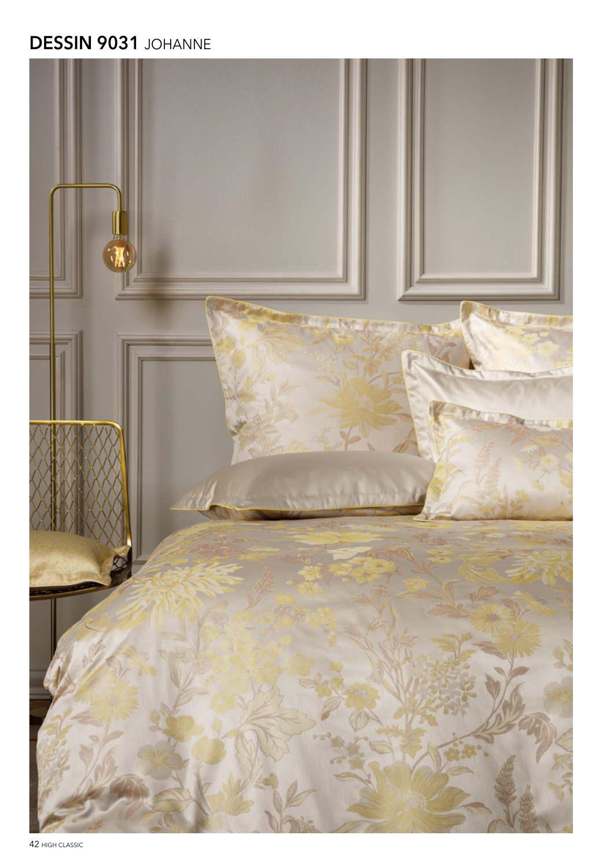# **DESSIN 9031 JOHANNE**



42 HIGH CLASSIC